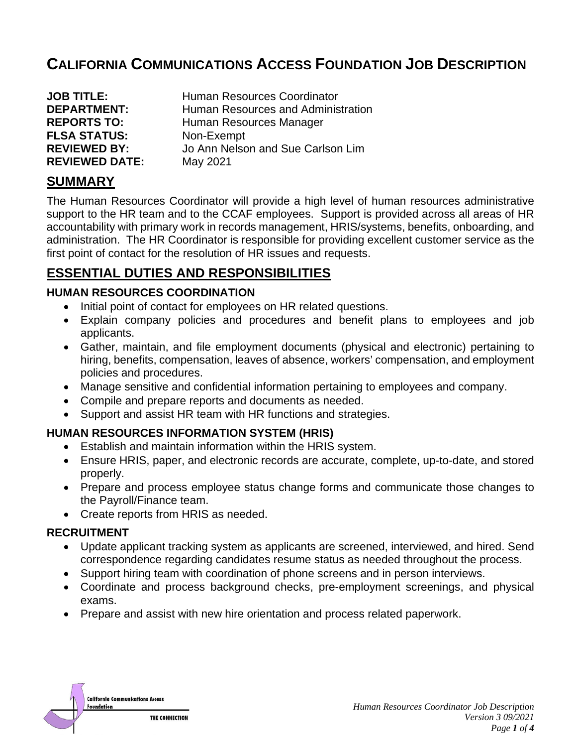# **CALIFORNIA COMMUNICATIONS ACCESS FOUNDATION JOB DESCRIPTION**

| <b>JOB TITLE:</b>     | Human Resources Coordinator        |
|-----------------------|------------------------------------|
| <b>DEPARTMENT:</b>    | Human Resources and Administration |
| <b>REPORTS TO:</b>    | Human Resources Manager            |
| <b>FLSA STATUS:</b>   | Non-Exempt                         |
| <b>REVIEWED BY:</b>   | Jo Ann Nelson and Sue Carlson Lim  |
| <b>REVIEWED DATE:</b> | May 2021                           |

### **SUMMARY**

The Human Resources Coordinator will provide a high level of human resources administrative support to the HR team and to the CCAF employees. Support is provided across all areas of HR accountability with primary work in records management, HRIS/systems, benefits, onboarding, and administration. The HR Coordinator is responsible for providing excellent customer service as the first point of contact for the resolution of HR issues and requests.

## **ESSENTIAL DUTIES AND RESPONSIBILITIES**

#### **HUMAN RESOURCES COORDINATION**

- Initial point of contact for employees on HR related questions.
- Explain company policies and procedures and benefit plans to employees and job applicants.
- Gather, maintain, and file employment documents (physical and electronic) pertaining to hiring, benefits, compensation, leaves of absence, workers' compensation, and employment policies and procedures.
- Manage sensitive and confidential information pertaining to employees and company.
- Compile and prepare reports and documents as needed.
- Support and assist HR team with HR functions and strategies.

#### **HUMAN RESOURCES INFORMATION SYSTEM (HRIS)**

- Establish and maintain information within the HRIS system.
- Ensure HRIS, paper, and electronic records are accurate, complete, up-to-date, and stored properly.
- Prepare and process employee status change forms and communicate those changes to the Payroll/Finance team.
- Create reports from HRIS as needed.

#### **RECRUITMENT**

- Update applicant tracking system as applicants are screened, interviewed, and hired. Send correspondence regarding candidates resume status as needed throughout the process.
- Support hiring team with coordination of phone screens and in person interviews.
- Coordinate and process background checks, pre-employment screenings, and physical exams.
- Prepare and assist with new hire orientation and process related paperwork.

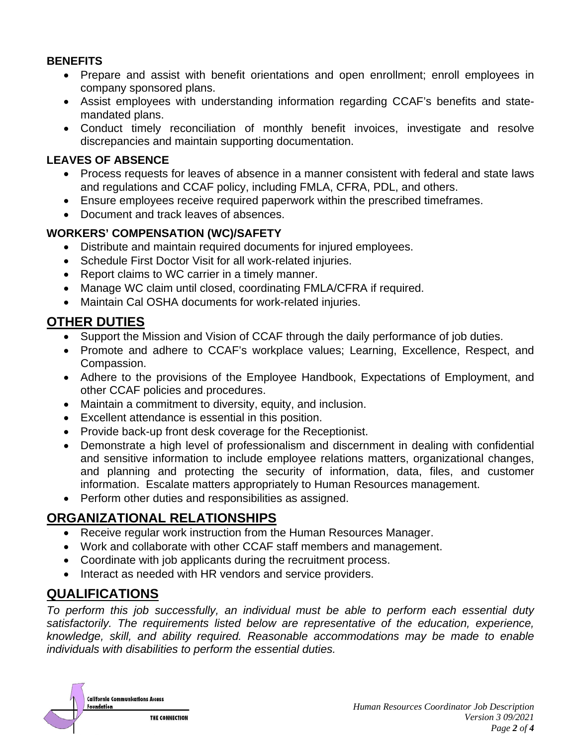#### **BENEFITS**

- Prepare and assist with benefit orientations and open enrollment; enroll employees in company sponsored plans.
- Assist employees with understanding information regarding CCAF's benefits and statemandated plans.
- Conduct timely reconciliation of monthly benefit invoices, investigate and resolve discrepancies and maintain supporting documentation.

### **LEAVES OF ABSENCE**

- Process requests for leaves of absence in a manner consistent with federal and state laws and regulations and CCAF policy, including FMLA, CFRA, PDL, and others.
- Ensure employees receive required paperwork within the prescribed timeframes.
- Document and track leaves of absences.

### **WORKERS' COMPENSATION (WC)/SAFETY**

- Distribute and maintain required documents for injured employees.
- Schedule First Doctor Visit for all work-related injuries.
- Report claims to WC carrier in a timely manner.
- Manage WC claim until closed, coordinating FMLA/CFRA if required.
- Maintain Cal OSHA documents for work-related injuries.

## **OTHER DUTIES**

- Support the Mission and Vision of CCAF through the daily performance of job duties.
- Promote and adhere to CCAF's workplace values; Learning, Excellence, Respect, and Compassion.
- Adhere to the provisions of the Employee Handbook, Expectations of Employment, and other CCAF policies and procedures.
- Maintain a commitment to diversity, equity, and inclusion.
- Excellent attendance is essential in this position.
- Provide back-up front desk coverage for the Receptionist.
- Demonstrate a high level of professionalism and discernment in dealing with confidential and sensitive information to include employee relations matters, organizational changes, and planning and protecting the security of information, data, files, and customer information. Escalate matters appropriately to Human Resources management.
- Perform other duties and responsibilities as assigned.

## **ORGANIZATIONAL RELATIONSHIPS**

- Receive regular work instruction from the Human Resources Manager.
- Work and collaborate with other CCAF staff members and management.
- Coordinate with job applicants during the recruitment process.
- Interact as needed with HR vendors and service providers.

## **QUALIFICATIONS**

*To perform this job successfully, an individual must be able to perform each essential duty satisfactorily. The requirements listed below are representative of the education, experience, knowledge, skill, and ability required. Reasonable accommodations may be made to enable individuals with disabilities to perform the essential duties.*

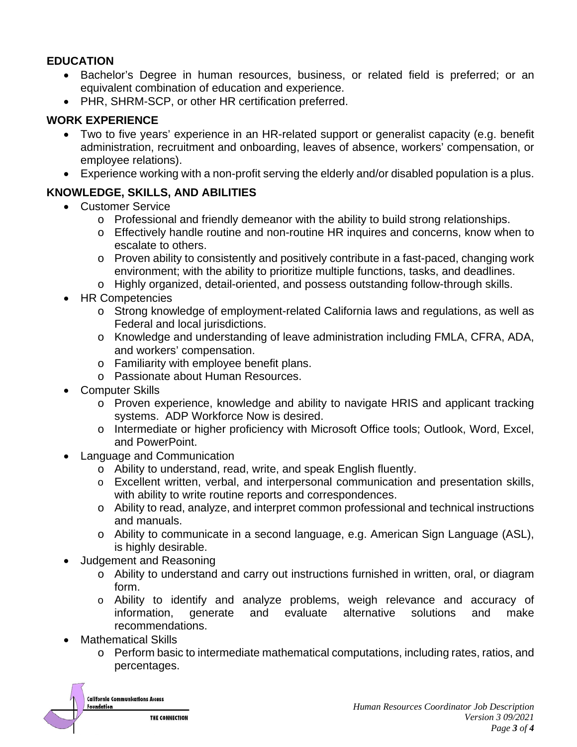#### **EDUCATION**

- Bachelor's Degree in human resources, business, or related field is preferred; or an equivalent combination of education and experience.
- PHR, SHRM-SCP, or other HR certification preferred.

### **WORK EXPERIENCE**

- Two to five years' experience in an HR-related support or generalist capacity (e.g. benefit administration, recruitment and onboarding, leaves of absence, workers' compensation, or employee relations).
- Experience working with a non-profit serving the elderly and/or disabled population is a plus.

### **KNOWLEDGE, SKILLS, AND ABILITIES**

- Customer Service
	- o Professional and friendly demeanor with the ability to build strong relationships.
	- o Effectively handle routine and non-routine HR inquires and concerns, know when to escalate to others.
	- o Proven ability to consistently and positively contribute in a fast-paced, changing work environment; with the ability to prioritize multiple functions, tasks, and deadlines.
	- o Highly organized, detail-oriented, and possess outstanding follow-through skills.
- HR Competencies
	- o Strong knowledge of employment-related California laws and regulations, as well as Federal and local jurisdictions.
	- o Knowledge and understanding of leave administration including FMLA, CFRA, ADA, and workers' compensation.
	- o Familiarity with employee benefit plans.
	- o Passionate about Human Resources.
- Computer Skills
	- o Proven experience, knowledge and ability to navigate HRIS and applicant tracking systems. ADP Workforce Now is desired.
	- o Intermediate or higher proficiency with Microsoft Office tools; Outlook, Word, Excel, and PowerPoint.
- Language and Communication
	- o Ability to understand, read, write, and speak English fluently.
	- o Excellent written, verbal, and interpersonal communication and presentation skills, with ability to write routine reports and correspondences.
	- o Ability to read, analyze, and interpret common professional and technical instructions and manuals.
	- o Ability to communicate in a second language, e.g. American Sign Language (ASL), is highly desirable.
- Judgement and Reasoning
	- o Ability to understand and carry out instructions furnished in written, oral, or diagram form.
	- o Ability to identify and analyze problems, weigh relevance and accuracy of alternative recommendations.
- Mathematical Skills
	- o Perform basic to intermediate mathematical computations, including rates, ratios, and percentages.